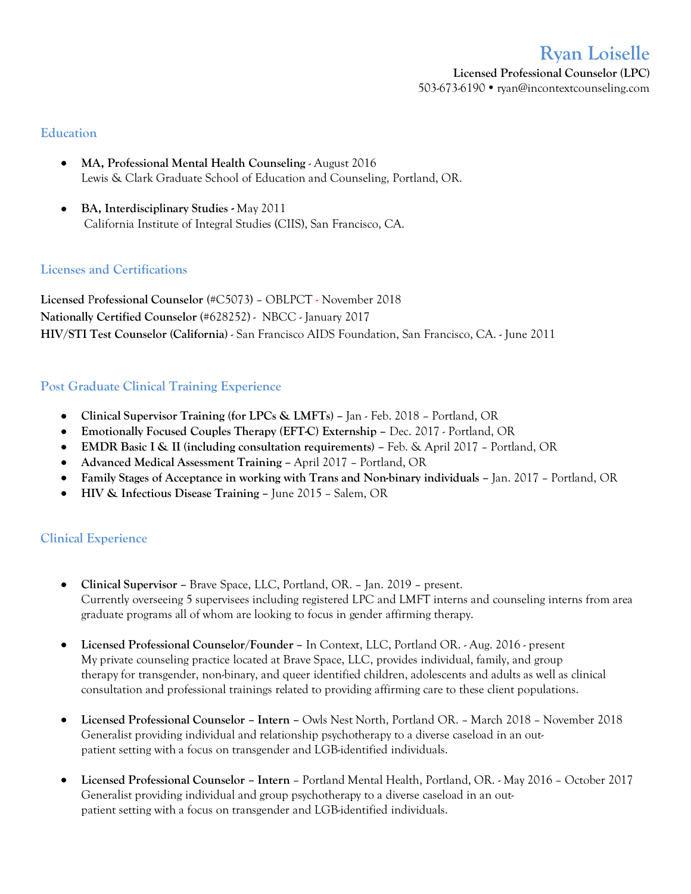# **Ryan Loiselle**

**Licensed Professional Counselor (LPC)** 503-673-6190 ryan@incontextcounseling.com

#### **Education**

- **MA, Professional Mental Health Counseling** August 2016 Lewis & Clark Graduate School of Education and Counseling, Portland, OR.
- **BA, Interdisciplinary Studies -** May 2011 California Institute of Integral Studies (CIIS), San Francisco, CA.

## **Licenses and Certifications**

**Licensed** P**rofessional Counselor (**#C5073) – OBLPCT - November 2018 **Nationally Certified Counselor** (#628252) - NBCC - January 2017 **HIV/STI Test Counselor (California)** - San Francisco AIDS Foundation, San Francisco, CA. - June 2011

# **Post Graduate Clinical Training Experience**

- **Clinical Supervisor Training (for LPCs & LMFTs) –** Jan Feb. 2018 Portland, OR
- **Emotionally Focused Couples Therapy (EFT-C) Externship –** Dec. 2017 Portland, OR
- **EMDR Basic I & II (including consultation requirements) –** Feb. & April 2017 Portland, OR
- **Advanced Medical Assessment Training –** April 2017 Portland, OR
- **Family Stages of Acceptance in working with Trans and Non-binary individuals –** Jan. 2017 Portland, OR
- **HIV & Infectious Disease Training –** June 2015 Salem, OR

## **Clinical Experience**

- **Clinical Supervisor –** Brave Space, LLC, Portland, OR. Jan. 2019 present. Currently overseeing 5 supervisees including registered LPC and LMFT interns and counseling interns from area graduate programs all of whom are looking to focus in gender affirming therapy.
- **Licensed Professional Counselor/Founder –** In Context, LLC, Portland OR. Aug. 2016 present My private counseling practice located at Brave Space, LLC, provides individual, family, and group therapy for transgender, non-binary, and queer identified children, adolescents and adults as well as clinical consultation and professional trainings related to providing affirming care to these client populations.
- **Licensed Professional Counselor – Intern –** Owls Nest North, Portland OR. March 2018 November 2018 Generalist providing individual and relationship psychotherapy to a diverse caseload in an outpatient setting with a focus on transgender and LGB-identified individuals.
- **Licensed Professional Counselor – Intern** Portland Mental Health, Portland, OR. May 2016 October 2017 Generalist providing individual and group psychotherapy to a diverse caseload in an outpatient setting with a focus on transgender and LGB-identified individuals.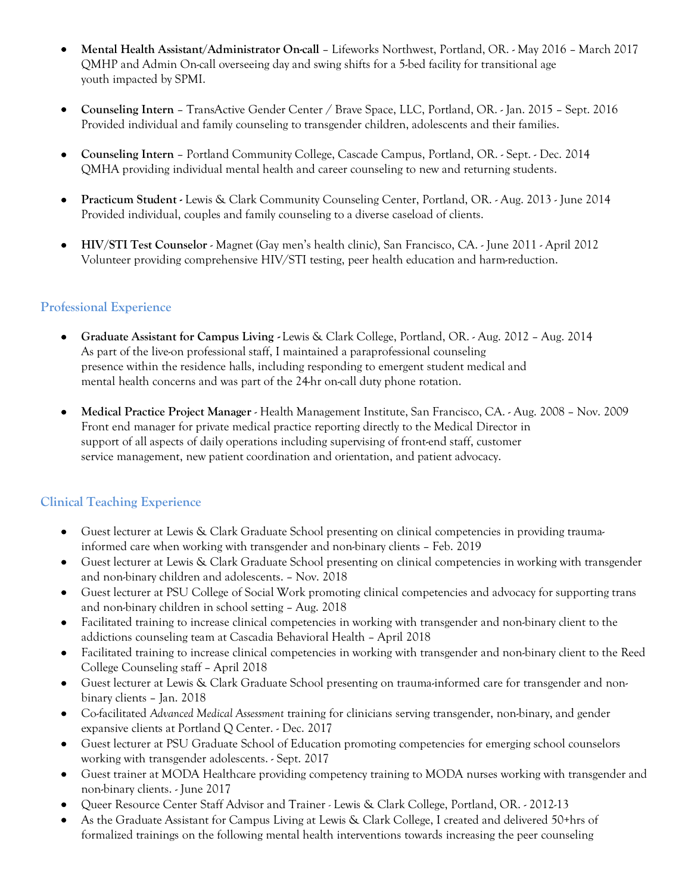- **Mental Health Assistant/Administrator On-call** Lifeworks Northwest, Portland, OR. May 2016 March 2017 QMHP and Admin On-call overseeing day and swing shifts for a 5-bed facility for transitional age youth impacted by SPMI.
- **Counseling Intern** TransActive Gender Center / Brave Space, LLC, Portland, OR. Jan. 2015 Sept. 2016 Provided individual and family counseling to transgender children, adolescents and their families.
- **Counseling Intern** Portland Community College, Cascade Campus, Portland, OR. Sept. Dec. 2014 QMHA providing individual mental health and career counseling to new and returning students.
- **Practicum Student -** Lewis & Clark Community Counseling Center, Portland, OR. Aug. 2013 June 2014 Provided individual, couples and family counseling to a diverse caseload of clients.
- **HIV/STI Test Counselor**  Magnet (Gay men's health clinic), San Francisco, CA. June 2011 April 2012 Volunteer providing comprehensive HIV/STI testing, peer health education and harm-reduction.

# **Professional Experience**

- **Graduate Assistant for Campus Living -** Lewis & Clark College, Portland, OR. Aug. 2012 Aug. 2014 As part of the live-on professional staff, I maintained a paraprofessional counseling presence within the residence halls, including responding to emergent student medical and mental health concerns and was part of the 24-hr on-call duty phone rotation.
- **Medical Practice Project Manager**  Health Management Institute, San Francisco, CA. Aug. 2008 Nov. 2009 Front end manager for private medical practice reporting directly to the Medical Director in support of all aspects of daily operations including supervising of front-end staff, customer service management, new patient coordination and orientation, and patient advocacy.

# **Clinical Teaching Experience**

- Guest lecturer at Lewis & Clark Graduate School presenting on clinical competencies in providing traumainformed care when working with transgender and non-binary clients – Feb. 2019
- Guest lecturer at Lewis & Clark Graduate School presenting on clinical competencies in working with transgender and non-binary children and adolescents. – Nov. 2018
- Guest lecturer at PSU College of Social Work promoting clinical competencies and advocacy for supporting trans and non-binary children in school setting – Aug. 2018
- Facilitated training to increase clinical competencies in working with transgender and non-binary client to the addictions counseling team at Cascadia Behavioral Health – April 2018
- Facilitated training to increase clinical competencies in working with transgender and non-binary client to the Reed College Counseling staff – April 2018
- Guest lecturer at Lewis & Clark Graduate School presenting on trauma-informed care for transgender and nonbinary clients – Jan. 2018
- Co-facilitated *Advanced Medical Assessment* training for clinicians serving transgender, non-binary, and gender expansive clients at Portland Q Center. - Dec. 2017
- Guest lecturer at PSU Graduate School of Education promoting competencies for emerging school counselors working with transgender adolescents. - Sept. 2017
- Guest trainer at MODA Healthcare providing competency training to MODA nurses working with transgender and non-binary clients. - June 2017
- Queer Resource Center Staff Advisor and Trainer *-* Lewis & Clark College, Portland, OR. 2012-13
- As the Graduate Assistant for Campus Living at Lewis & Clark College, I created and delivered 50+hrs of formalized trainings on the following mental health interventions towards increasing the peer counseling